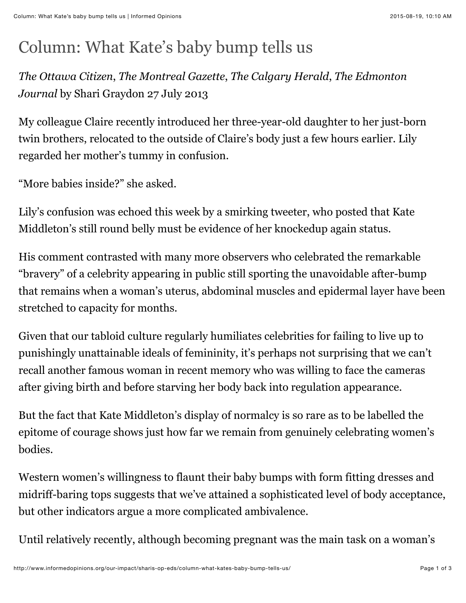## Column: What Kate's baby bump tells us

*The Ottawa Citizen*, *The Montreal Gazette*, *The Calgary Herald*, *The Edmonton Journal* by Shari Graydon 27 July 2013

My colleague Claire recently introduced her three-year-old daughter to her just-born twin brothers, relocated to the outside of Claire's body just a few hours earlier. Lily regarded her mother's tummy in confusion.

"More babies inside?" she asked.

Lily's confusion was echoed this week by a smirking tweeter, who posted that Kate Middleton's still round belly must be evidence of her knockedup again status.

His comment contrasted with many more observers who celebrated the remarkable "bravery" of a celebrity appearing in public still sporting the unavoidable after-bump that remains when a woman's uterus, abdominal muscles and epidermal layer have been stretched to capacity for months.

Given that our tabloid culture regularly humiliates celebrities for failing to live up to punishingly unattainable ideals of femininity, it's perhaps not surprising that we can't recall another famous woman in recent memory who was willing to face the cameras after giving birth and before starving her body back into regulation appearance.

But the fact that Kate Middleton's display of normalcy is so rare as to be labelled the epitome of courage shows just how far we remain from genuinely celebrating women's bodies.

Western women's willingness to flaunt their baby bumps with form fitting dresses and midriff-baring tops suggests that we've attained a sophisticated level of body acceptance, but other indicators argue a more complicated ambivalence.

Until relatively recently, although becoming pregnant was the main task on a woman's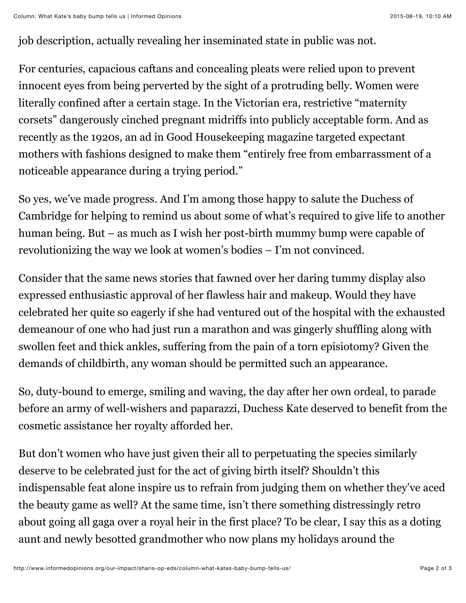job description, actually revealing her inseminated state in public was not.

For centuries, capacious caftans and concealing pleats were relied upon to prevent innocent eyes from being perverted by the sight of a protruding belly. Women were literally confined after a certain stage. In the Victorian era, restrictive "maternity corsets" dangerously cinched pregnant midriffs into publicly acceptable form. And as recently as the 1920s, an ad in Good Housekeeping magazine targeted expectant mothers with fashions designed to make them "entirely free from embarrassment of a noticeable appearance during a trying period."

So yes, we've made progress. And I'm among those happy to salute the Duchess of Cambridge for helping to remind us about some of what's required to give life to another human being. But – as much as I wish her post-birth mummy bump were capable of revolutionizing the way we look at women's bodies – I'm not convinced.

Consider that the same news stories that fawned over her daring tummy display also expressed enthusiastic approval of her flawless hair and makeup. Would they have celebrated her quite so eagerly if she had ventured out of the hospital with the exhausted demeanour of one who had just run a marathon and was gingerly shuffling along with swollen feet and thick ankles, suffering from the pain of a torn episiotomy? Given the demands of childbirth, any woman should be permitted such an appearance.

So, duty-bound to emerge, smiling and waving, the day after her own ordeal, to parade before an army of well-wishers and paparazzi, Duchess Kate deserved to benefit from the cosmetic assistance her royalty afforded her.

But don't women who have just given their all to perpetuating the species similarly deserve to be celebrated just for the act of giving birth itself? Shouldn't this indispensable feat alone inspire us to refrain from judging them on whether they've aced the beauty game as well? At the same time, isn't there something distressingly retro about going all gaga over a royal heir in the first place? To be clear, I say this as a doting aunt and newly besotted grandmother who now plans my holidays around the